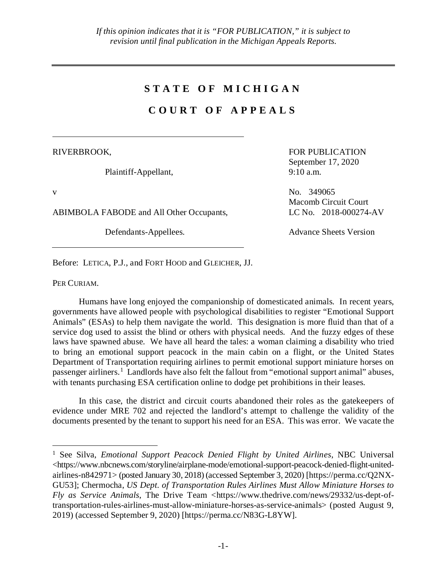## **STATE OF MICHIGAN**

# **COURT OF APPEALS**

RIVERBROOK,

Plaintiff-Appellant,

ABIMBOLA FABODE and All Other Occupants, LC No. 2018-000274-AV

FOR PUBLICATION September 17, 2020 9:10 a.m.

v No. 349065 Macomb Circuit Court

Defendants-Appellees. Advance Sheets Version

Before: LETICA, P.J., and FORT HOOD and GLEICHER, JJ.

PER CURIAM.

Humans have long enjoyed the companionship of domesticated animals. In recent years, governments have allowed people with psychological disabilities to register "Emotional Support Animals" (ESAs) to help them navigate the world. This designation is more fluid than that of a service dog used to assist the blind or others with physical needs. And the fuzzy edges of these laws have spawned abuse. We have all heard the tales: a woman claiming a disability who tried to bring an emotional support peacock in the main cabin on a flight, or the United States Department of Transportation requiring airlines to permit emotional support miniature horses on passenger airliners.<sup>[1](#page-0-0)</sup> Landlords have also felt the fallout from "emotional support animal" abuses, with tenants purchasing ESA certification online to dodge pet prohibitions in their leases.

In this case, the district and circuit courts abandoned their roles as the gatekeepers of evidence under MRE 702 and rejected the landlord's attempt to challenge the validity of the documents presented by the tenant to support his need for an ESA. This was error. We vacate the

<span id="page-0-0"></span> <sup>1</sup> See Silva, *Emotional Support Peacock Denied Flight by United Airlines*, NBC Universal <https://www.nbcnews.com/storyline/airplane-mode/emotional-support-peacock-denied-flight-unitedairlines-n842971> (posted January 30, 2018) (accessed September 3, 2020) [https://perma.cc/Q2NX-GU53]; Chermocha, *US Dept*. *of Transportation Rules Airlines Must Allow Miniature Horses to Fly as Service Animals*, The Drive Team <https://www.thedrive.com/news/29332/us-dept-oftransportation-rules-airlines-must-allow-miniature-horses-as-service-animals> (posted August 9, 2019) (accessed September 9, 2020) [https://perma.cc/N83G-L8YW].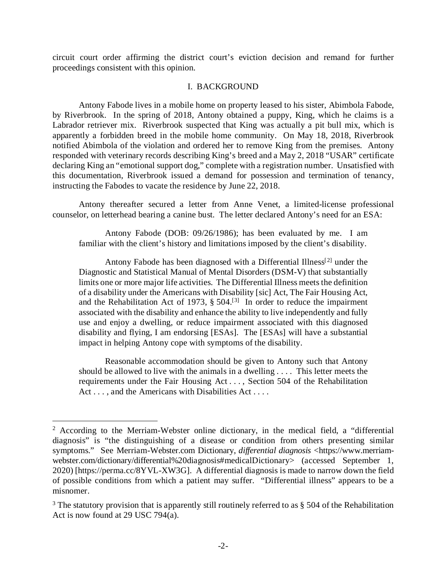circuit court order affirming the district court's eviction decision and remand for further proceedings consistent with this opinion.

#### I. BACKGROUND

Antony Fabode lives in a mobile home on property leased to his sister, Abimbola Fabode, by Riverbrook. In the spring of 2018, Antony obtained a puppy, King, which he claims is a Labrador retriever mix. Riverbrook suspected that King was actually a pit bull mix, which is apparently a forbidden breed in the mobile home community. On May 18, 2018, Riverbrook notified Abimbola of the violation and ordered her to remove King from the premises. Antony responded with veterinary records describing King's breed and a May 2, 2018 "USAR" certificate declaring King an "emotional support dog," complete with a registration number. Unsatisfied with this documentation, Riverbrook issued a demand for possession and termination of tenancy, instructing the Fabodes to vacate the residence by June 22, 2018.

Antony thereafter secured a letter from Anne Venet, a limited-license professional counselor, on letterhead bearing a canine bust. The letter declared Antony's need for an ESA:

Antony Fabode (DOB: 09/26/1986); has been evaluated by me. I am familiar with the client's history and limitations imposed by the client's disability.

Antony Fabode has been diagnosed with a Differential Illness<sup>[[2](#page-1-0)]</sup> under the Diagnostic and Statistical Manual of Mental Disorders (DSM-V) that substantially limits one or more major life activities. The Differential Illness meets the definition of a disability under the Americans with Disability [sic] Act, The Fair Housing Act, and the Rehabilitation Act of 197[3](#page-1-1),  $\S 504$ .<sup>[3]</sup> In order to reduce the impairment associated with the disability and enhance the ability to live independently and fully use and enjoy a dwelling, or reduce impairment associated with this diagnosed disability and flying, I am endorsing [ESAs]. The [ESAs] will have a substantial impact in helping Antony cope with symptoms of the disability.

Reasonable accommodation should be given to Antony such that Antony should be allowed to live with the animals in a dwelling . . . . This letter meets the requirements under the Fair Housing Act . . . , Section 504 of the Rehabilitation Act . . . , and the Americans with Disabilities Act . . . .

<span id="page-1-0"></span> $2$  According to the Merriam-Webster online dictionary, in the medical field, a "differential" diagnosis" is "the distinguishing of a disease or condition from others presenting similar symptoms." See Merriam-Webster.com Dictionary, *differential diagnosis* <https://www.merriamwebster.com/dictionary/differential%20diagnosis#medicalDictionary> (accessed September 1, 2020) [https://perma.cc/8YVL-XW3G]. A differential diagnosis is made to narrow down the field of possible conditions from which a patient may suffer. "Differential illness" appears to be a misnomer.

<span id="page-1-1"></span> $3$  The statutory provision that is apparently still routinely referred to as § 504 of the Rehabilitation Act is now found at 29 USC 794(a).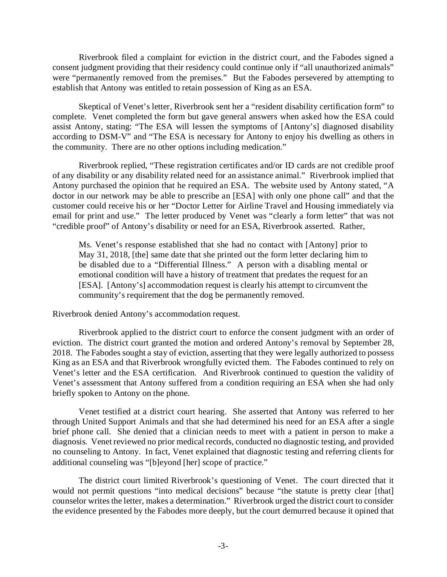Riverbrook filed a complaint for eviction in the district court, and the Fabodes signed a consent judgment providing that their residency could continue only if "all unauthorized animals" were "permanently removed from the premises." But the Fabodes persevered by attempting to establish that Antony was entitled to retain possession of King as an ESA.

Skeptical of Venet's letter, Riverbrook sent her a "resident disability certification form" to complete. Venet completed the form but gave general answers when asked how the ESA could assist Antony, stating: "The ESA will lessen the symptoms of [Antony's] diagnosed disability according to DSM-V" and "The ESA is necessary for Antony to enjoy his dwelling as others in the community. There are no other options including medication."

Riverbrook replied, "These registration certificates and/or ID cards are not credible proof of any disability or any disability related need for an assistance animal." Riverbrook implied that Antony purchased the opinion that he required an ESA. The website used by Antony stated, "A doctor in our network may be able to prescribe an [ESA] with only one phone call" and that the customer could receive his or her "Doctor Letter for Airline Travel and Housing immediately via email for print and use." The letter produced by Venet was "clearly a form letter" that was not "credible proof" of Antony's disability or need for an ESA, Riverbrook asserted. Rather,

Ms. Venet's response established that she had no contact with [Antony] prior to May 31, 2018, [the] same date that she printed out the form letter declaring him to be disabled due to a "Differential Illness." A person with a disabling mental or emotional condition will have a history of treatment that predates the request for an [ESA]. [Antony's] accommodation request is clearly his attempt to circumvent the community's requirement that the dog be permanently removed.

Riverbrook denied Antony's accommodation request.

Riverbrook applied to the district court to enforce the consent judgment with an order of eviction. The district court granted the motion and ordered Antony's removal by September 28, 2018. The Fabodes sought a stay of eviction, asserting that they were legally authorized to possess King as an ESA and that Riverbrook wrongfully evicted them. The Fabodes continued to rely on Venet's letter and the ESA certification. And Riverbrook continued to question the validity of Venet's assessment that Antony suffered from a condition requiring an ESA when she had only briefly spoken to Antony on the phone.

Venet testified at a district court hearing. She asserted that Antony was referred to her through United Support Animals and that she had determined his need for an ESA after a single brief phone call. She denied that a clinician needs to meet with a patient in person to make a diagnosis. Venet reviewed no prior medical records, conducted no diagnostic testing, and provided no counseling to Antony. In fact, Venet explained that diagnostic testing and referring clients for additional counseling was "[b]eyond [her] scope of practice."

The district court limited Riverbrook's questioning of Venet. The court directed that it would not permit questions "into medical decisions" because "the statute is pretty clear [that] counselor writes the letter, makes a determination." Riverbrook urged the district court to consider the evidence presented by the Fabodes more deeply, but the court demurred because it opined that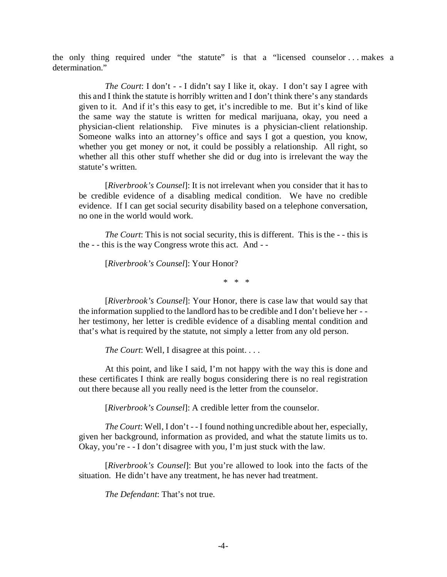the only thing required under "the statute" is that a "licensed counselor ... makes a determination."

*The Court*: I don't - - I didn't say I like it, okay. I don't say I agree with this and I think the statute is horribly written and I don't think there's any standards given to it. And if it's this easy to get, it's incredible to me. But it's kind of like the same way the statute is written for medical marijuana, okay, you need a physician-client relationship. Five minutes is a physician-client relationship. Someone walks into an attorney's office and says I got a question, you know, whether you get money or not, it could be possibly a relationship. All right, so whether all this other stuff whether she did or dug into is irrelevant the way the statute's written.

[*Riverbrook's Counsel*]: It is not irrelevant when you consider that it has to be credible evidence of a disabling medical condition. We have no credible evidence. If I can get social security disability based on a telephone conversation, no one in the world would work.

*The Court*: This is not social security, this is different. This is the - - this is the - - this is the way Congress wrote this act. And - -

[*Riverbrook's Counsel*]: Your Honor?

\* \* \*

[Riverbrook's Counsel]: Your Honor, there is case law that would say that the information supplied to the landlord has to be credible and I don't believe her - her testimony, her letter is credible evidence of a disabling mental condition and that's what is required by the statute, not simply a letter from any old person.

*The Court*: Well, I disagree at this point....

At this point, and like I said, I'm not happy with the way this is done and these certificates I think are really bogus considering there is no real registration out there because all you really need is the letter from the counselor.

[*Riverbrook's Counsel*]: A credible letter from the counselor.

*The Court*: Well, I don't --I found nothing uncredible about her, especially, given her background, information as provided, and what the statute limits us to. Okay, you're - - I don't disagree with you, I'm just stuck with the law.

[*Riverbrook's Counsel*]: But you're allowed to look into the facts of the situation. He didn't have any treatment, he has never had treatment.

*The Defendant*: That's not true.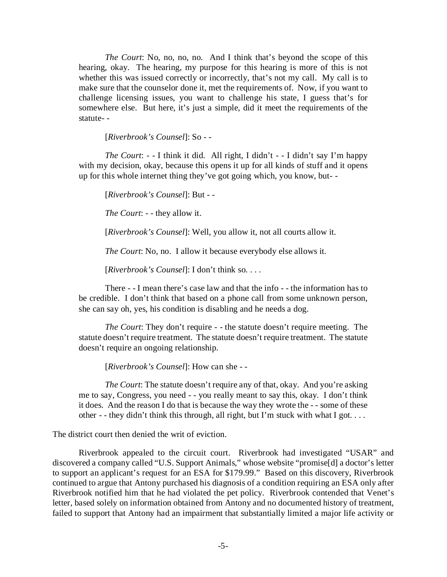*The Court*: No, no, no, no. And I think that's beyond the scope of this hearing, okay. The hearing, my purpose for this hearing is more of this is not whether this was issued correctly or incorrectly, that's not my call. My call is to make sure that the counselor done it, met the requirements of. Now, if you want to challenge licensing issues, you want to challenge his state, I guess that's for somewhere else. But here, it's just a simple, did it meet the requirements of the statute- -

[*Riverbrook's Counsel*]: So - -

*The Court*: - - I think it did. All right, I didn't - - I didn't say I'm happy with my decision, okay, because this opens it up for all kinds of stuff and it opens up for this whole internet thing they've got going which, you know, but- -

[*Riverbrook's Counsel*]: But - -

*The Court*: - - they allow it.

[*Riverbrook's Counsel*]: Well, you allow it, not all courts allow it.

*The Court*: No, no. I allow it because everybody else allows it.

[*Riverbrook's Counsel*]: I don't think so. . . .

There - - I mean there's case law and that the info - - the information has to be credible. I don't think that based on a phone call from some unknown person, she can say oh, yes, his condition is disabling and he needs a dog.

*The Court*: They don't require - - the statute doesn't require meeting. The statute doesn't require treatment. The statute doesn't require treatment. The statute doesn't require an ongoing relationship.

[*Riverbrook's Counsel*]: How can she - -

*The Court*: The statute doesn't require any of that, okay. And you're asking me to say, Congress, you need - - you really meant to say this, okay. I don't think it does. And the reason I do that is because the way they wrote the - - some of these other - - they didn't think this through, all right, but I'm stuck with what I got. . . .

The district court then denied the writ of eviction.

Riverbrook appealed to the circuit court. Riverbrook had investigated "USAR" and discovered a company called "U.S. Support Animals," whose website "promise[d] a doctor's letter to support an applicant's request for an ESA for \$179.99." Based on this discovery, Riverbrook continued to argue that Antony purchased his diagnosis of a condition requiring an ESA only after Riverbrook notified him that he had violated the pet policy. Riverbrook contended that Venet's letter, based solely on information obtained from Antony and no documented history of treatment, failed to support that Antony had an impairment that substantially limited a major life activity or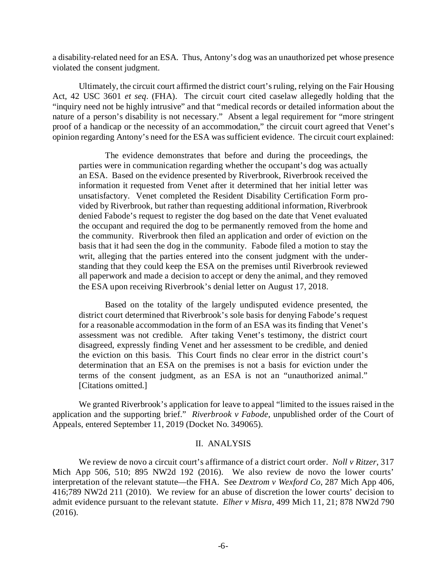a disability-related need for an ESA. Thus, Antony's dog was an unauthorized pet whose presence violated the consent judgment.

Ultimately, the circuit court affirmed the district court's ruling, relying on the Fair Housing Act, 42 USC 3601 *et seq*. (FHA). The circuit court cited caselaw allegedly holding that the "inquiry need not be highly intrusive" and that "medical records or detailed information about the nature of a person's disability is not necessary." Absent a legal requirement for "more stringent proof of a handicap or the necessity of an accommodation," the circuit court agreed that Venet's opinion regarding Antony's need for the ESA was sufficient evidence. The circuit court explained:

The evidence demonstrates that before and during the proceedings, the parties were in communication regarding whether the occupant's dog was actually an ESA. Based on the evidence presented by Riverbrook, Riverbrook received the information it requested from Venet after it determined that her initial letter was unsatisfactory. Venet completed the Resident Disability Certification Form provided by Riverbrook, but rather than requesting additional information, Riverbrook denied Fabode's request to register the dog based on the date that Venet evaluated the occupant and required the dog to be permanently removed from the home and the community. Riverbrook then filed an application and order of eviction on the basis that it had seen the dog in the community. Fabode filed a motion to stay the writ, alleging that the parties entered into the consent judgment with the understanding that they could keep the ESA on the premises until Riverbrook reviewed all paperwork and made a decision to accept or deny the animal, and they removed the ESA upon receiving Riverbrook's denial letter on August 17, 2018.

Based on the totality of the largely undisputed evidence presented, the district court determined that Riverbrook's sole basis for denying Fabode's request for a reasonable accommodation in the form of an ESA was its finding that Venet's assessment was not credible. After taking Venet's testimony, the district court disagreed, expressly finding Venet and her assessment to be credible, and denied the eviction on this basis. This Court finds no clear error in the district court's determination that an ESA on the premises is not a basis for eviction under the terms of the consent judgment, as an ESA is not an "unauthorized animal." [Citations omitted.]

We granted Riverbrook's application for leave to appeal "limited to the issues raised in the application and the supporting brief." *Riverbrook v Fabode*, unpublished order of the Court of Appeals, entered September 11, 2019 (Docket No. 349065).

#### II. ANALYSIS

We review de novo a circuit court's affirmance of a district court order. *Noll v Ritzer*, 317 Mich App 506, 510; 895 NW2d 192 (2016). We also review de novo the lower courts' interpretation of the relevant statute—the FHA. See *Dextrom v Wexford Co*, 287 Mich App 406, 416;789 NW2d 211 (2010). We review for an abuse of discretion the lower courts' decision to admit evidence pursuant to the relevant statute. *Elher v Misra*, 499 Mich 11, 21; 878 NW2d 790 (2016).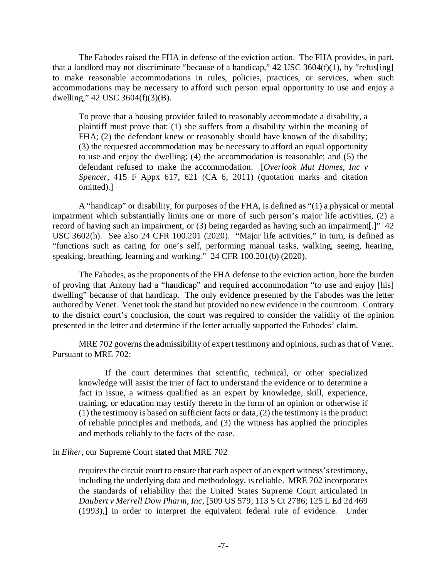The Fabodes raised the FHA in defense of the eviction action. The FHA provides, in part, that a landlord may not discriminate "because of a handicap,"  $42$  USC 3604(f)(1), by "refus[ing] to make reasonable accommodations in rules, policies, practices, or services, when such accommodations may be necessary to afford such person equal opportunity to use and enjoy a dwelling," 42 USC 3604(f)(3)(B).

To prove that a housing provider failed to reasonably accommodate a disability, a plaintiff must prove that: (1) she suffers from a disability within the meaning of FHA; (2) the defendant knew or reasonably should have known of the disability; (3) the requested accommodation may be necessary to afford an equal opportunity to use and enjoy the dwelling; (4) the accommodation is reasonable; and (5) the defendant refused to make the accommodation. [*Overlook Mut Homes, Inc v Spencer*, 415 F Appx 617, 621 (CA 6, 2011) (quotation marks and citation omitted).]

A "handicap" or disability, for purposes of the FHA, is defined as "(1) a physical or mental impairment which substantially limits one or more of such person's major life activities, (2) a record of having such an impairment, or (3) being regarded as having such an impairment[.]" 42 USC 3602(h). See also 24 CFR 100.201 (2020). "Major life activities," in turn, is defined as "functions such as caring for one's self, performing manual tasks, walking, seeing, hearing, speaking, breathing, learning and working." 24 CFR 100.201(b) (2020).

The Fabodes, as the proponents of the FHA defense to the eviction action, bore the burden of proving that Antony had a "handicap" and required accommodation "to use and enjoy [his] dwelling" because of that handicap. The only evidence presented by the Fabodes was the letter authored by Venet. Venet took the stand but provided no new evidence in the courtroom. Contrary to the district court's conclusion, the court was required to consider the validity of the opinion presented in the letter and determine if the letter actually supported the Fabodes' claim.

MRE 702 governs the admissibility of expert testimony and opinions, such as that of Venet. Pursuant to MRE 702:

If the court determines that scientific, technical, or other specialized knowledge will assist the trier of fact to understand the evidence or to determine a fact in issue, a witness qualified as an expert by knowledge, skill, experience, training, or education may testify thereto in the form of an opinion or otherwise if (1) the testimony is based on sufficient facts or data, (2) the testimony is the product of reliable principles and methods, and (3) the witness has applied the principles and methods reliably to the facts of the case.

### In *Elher*, our Supreme Court stated that MRE 702

requires the circuit court to ensure that each aspect of an expert witness's testimony, including the underlying data and methodology, is reliable. MRE 702 incorporates the standards of reliability that the United States Supreme Court articulated in *Daubert v Merrell Dow Pharm, Inc*, [509 US 579; 113 S Ct 2786; 125 L Ed 2d 469 (1993),] in order to interpret the equivalent federal rule of evidence. Under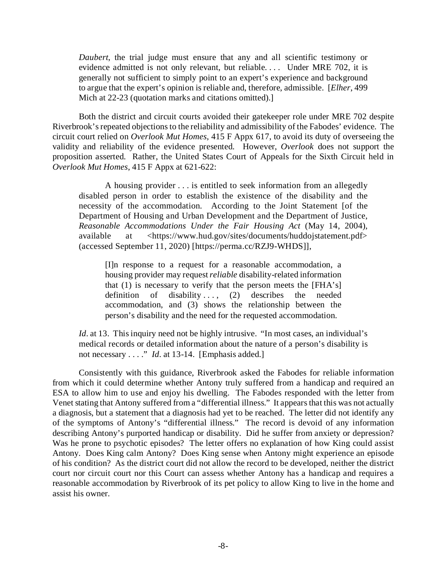*Daubert*, the trial judge must ensure that any and all scientific testimony or evidence admitted is not only relevant, but reliable.... Under MRE 702, it is generally not sufficient to simply point to an expert's experience and background to argue that the expert's opinion is reliable and, therefore, admissible. [*Elher*, 499 Mich at 22-23 (quotation marks and citations omitted).

Both the district and circuit courts avoided their gatekeeper role under MRE 702 despite Riverbrook's repeated objectionsto the reliability and admissibility of the Fabodes' evidence. The circuit court relied on *Overlook Mut Homes*, 415 F Appx 617, to avoid its duty of overseeing the validity and reliability of the evidence presented. However, *Overlook* does not support the proposition asserted. Rather, the United States Court of Appeals for the Sixth Circuit held in *Overlook Mut Homes*, 415 F Appx at 621-622:

A housing provider . . . is entitled to seek information from an allegedly disabled person in order to establish the existence of the disability and the necessity of the accommodation. According to the Joint Statement [of the Department of Housing and Urban Development and the Department of Justice, *Reasonable Accommodations Under the Fair Housing Act* (May 14, 2004), available at <https://www.hud.gov/sites/documents/huddojstatement.pdf> (accessed September 11, 2020) [https://perma.cc/RZJ9-WHDS]],

[I]n response to a request for a reasonable accommodation, a housing provider may request *reliable* disability-related information that (1) is necessary to verify that the person meets the [FHA's] definition of disability ...,  $(2)$  describes the needed accommodation, and (3) shows the relationship between the person's disability and the need for the requested accommodation.

*Id.* at 13. This inquiry need not be highly intrusive. "In most cases, an individual's medical records or detailed information about the nature of a person's disability is not necessary . . . ." *Id*. at 13-14. [Emphasis added.]

Consistently with this guidance, Riverbrook asked the Fabodes for reliable information from which it could determine whether Antony truly suffered from a handicap and required an ESA to allow him to use and enjoy his dwelling. The Fabodes responded with the letter from Venet stating that Antony suffered from a "differential illness." It appears that this was not actually a diagnosis, but a statement that a diagnosis had yet to be reached. The letter did not identify any of the symptoms of Antony's "differential illness." The record is devoid of any information describing Antony's purported handicap or disability. Did he suffer from anxiety or depression? Was he prone to psychotic episodes? The letter offers no explanation of how King could assist Antony. Does King calm Antony? Does King sense when Antony might experience an episode of his condition? As the district court did not allow the record to be developed, neither the district court nor circuit court nor this Court can assess whether Antony has a handicap and requires a reasonable accommodation by Riverbrook of its pet policy to allow King to live in the home and assist his owner.